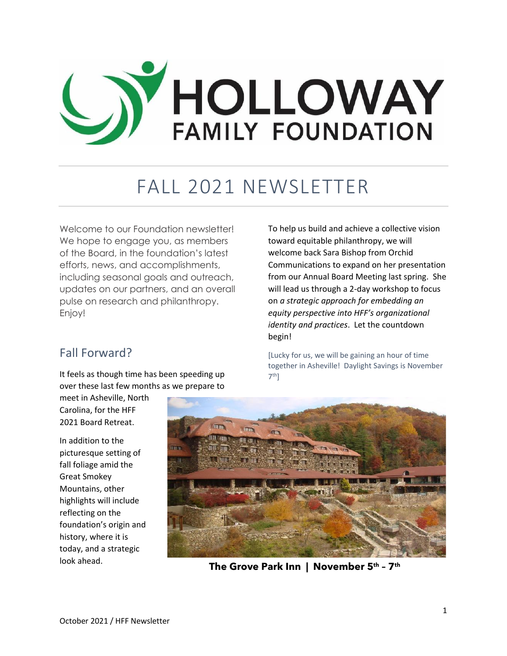

## FALL 2021 NEWSLETTER

Welcome to our Foundation newsletter! We hope to engage you, as members of the Board, in the foundation's latest efforts, news, and accomplishments, including seasonal goals and outreach, updates on our partners, and an overall pulse on research and philanthropy. Enjoy!

### Fall Forward?

It feels as though time has been speeding up over these last few months as we prepare to

meet in Asheville, North Carolina, for the HFF 2021 Board Retreat.

In addition to the picturesque setting of fall foliage amid the Great Smokey Mountains, other highlights will include reflecting on the foundation's origin and history, where it is today, and a strategic look ahead.

To help us build and achieve a collective vision toward equitable philanthropy, we will welcome back Sara Bishop from Orchid Communications to expand on her presentation from our Annual Board Meeting last spring. She will lead us through a 2-day workshop to focus on *a strategic approach for embedding an equity perspective into HFF's organizational identity and practices*. Let the countdown begin!

[Lucky for us, we will be gaining an hour of time together in Asheville! Daylight Savings is November 7<sup>th</sup>]



**The Grove Park Inn | November 5th – 7 th**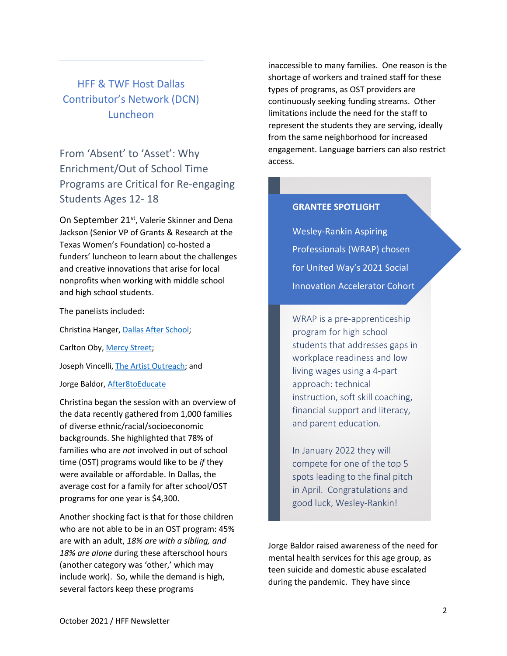HFF & TWF Host Dallas Contributor's Network (DCN) Luncheon

From 'Absent' to 'Asset': Why Enrichment/Out of School Time Programs are Critical for Re-engaging Students Ages 12- 18

On September 21<sup>st</sup>, Valerie Skinner and Dena Jackson (Senior VP of Grants & Research at the Texas Women's Foundation) co-hosted a funders' luncheon to learn about the challenges and creative innovations that arise for local nonprofits when working with middle school and high school students.

The panelists included:

Christina Hanger, [Dallas After School;](https://dallasafterschool.org/)

Carlton Oby, [Mercy Street;](https://mercystreet.org/)

Joseph Vincelli[, The Artist Outreach;](https://theartistoutreach.org/) and

Jorge Baldor, [After8toEducate](https://after8toeducate.com/)

Christina began the session with an overview of the data recently gathered from 1,000 families of diverse ethnic/racial/socioeconomic backgrounds. She highlighted that 78% of families who are *not* involved in out of school time (OST) programs would like to be *if* they were available or affordable. In Dallas, the average cost for a family for after school/OST programs for one year is \$4,300.

Another shocking fact is that for those children who are not able to be in an OST program: 45% are with an adult, *18% are with a sibling, and 18% are alone* during these afterschool hours (another category was 'other,' which may include work). So, while the demand is high, several factors keep these programs

inaccessible to many families. One reason is the shortage of workers and trained staff for these types of programs, as OST providers are continuously seeking funding streams. Other limitations include the need for the staff to represent the students they are serving, ideally from the same neighborhood for increased engagement. Language barriers can also restrict access.

#### **GRANTEE SPOTLIGHT**

Wesley-Rankin Aspiring Professionals (WRAP) chosen for United Way's 2021 Social Innovation Accelerator Cohort

WRAP is a pre-apprenticeship program for high school students that addresses gaps in workplace readiness and low living wages using a 4-part approach: technical instruction, soft skill coaching, financial support and literacy, and parent education.

In January 2022 they will compete for one of the top 5 spots leading to the final pitch in April. Congratulations and good luck, Wesley-Rankin!

Jorge Baldor raised awareness of the need for mental health services for this age group, as teen suicide and domestic abuse escalated during the pandemic. They have since